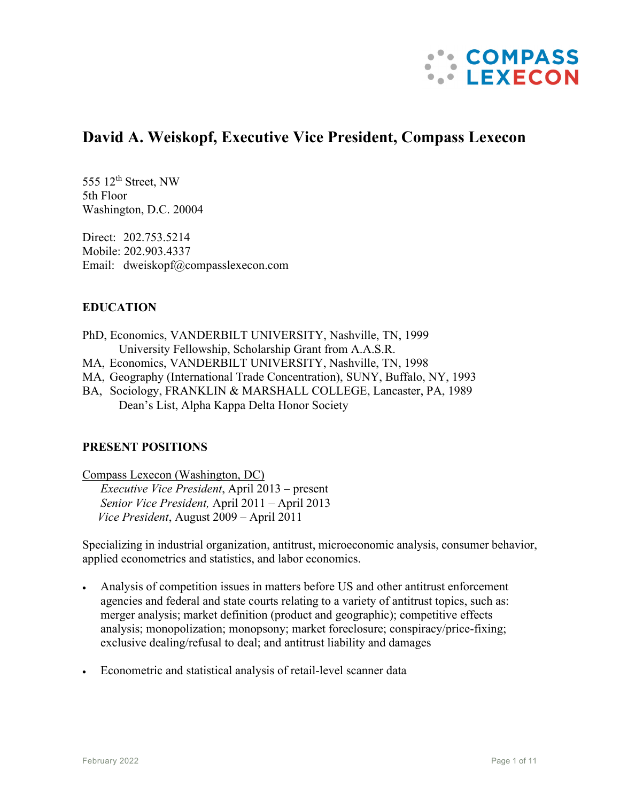

# **David A. Weiskopf, Executive Vice President, Compass Lexecon**

555  $12<sup>th</sup>$  Street, NW 5th Floor Washington, D.C. 20004

Direct: 202.753.5214 Mobile: 202.903.4337 Email: dweiskopf@compasslexecon.com

## **EDUCATION**

PhD, Economics, VANDERBILT UNIVERSITY, Nashville, TN, 1999 University Fellowship, Scholarship Grant from A.A.S.R.

- MA, Economics, VANDERBILT UNIVERSITY, Nashville, TN, 1998
- MA, Geography (International Trade Concentration), SUNY, Buffalo, NY, 1993

BA, Sociology, FRANKLIN & MARSHALL COLLEGE, Lancaster, PA, 1989 Dean's List, Alpha Kappa Delta Honor Society

## **PRESENT POSITIONS**

Compass Lexecon (Washington, DC) *Executive Vice President*, April 2013 – present *Senior Vice President,* April 2011 – April 2013  *Vice President*, August 2009 – April 2011

Specializing in industrial organization, antitrust, microeconomic analysis, consumer behavior, applied econometrics and statistics, and labor economics.

- Analysis of competition issues in matters before US and other antitrust enforcement agencies and federal and state courts relating to a variety of antitrust topics, such as: merger analysis; market definition (product and geographic); competitive effects analysis; monopolization; monopsony; market foreclosure; conspiracy/price-fixing; exclusive dealing/refusal to deal; and antitrust liability and damages
- Econometric and statistical analysis of retail-level scanner data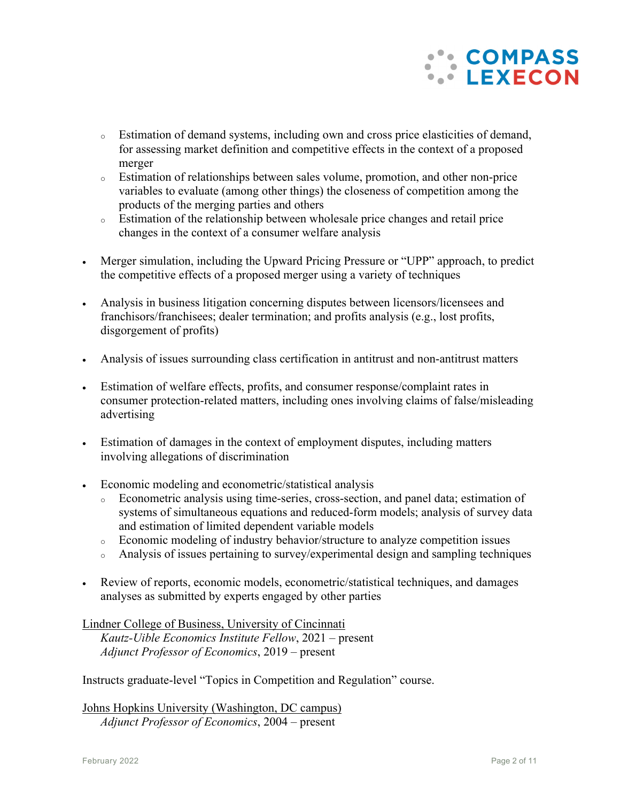

- <sup>o</sup> Estimation of demand systems, including own and cross price elasticities of demand, for assessing market definition and competitive effects in the context of a proposed merger
- <sup>o</sup> Estimation of relationships between sales volume, promotion, and other non-price variables to evaluate (among other things) the closeness of competition among the products of the merging parties and others
- <sup>o</sup> Estimation of the relationship between wholesale price changes and retail price changes in the context of a consumer welfare analysis
- Merger simulation, including the Upward Pricing Pressure or "UPP" approach, to predict the competitive effects of a proposed merger using a variety of techniques
- Analysis in business litigation concerning disputes between licensors/licensees and franchisors/franchisees; dealer termination; and profits analysis (e.g., lost profits, disgorgement of profits)
- Analysis of issues surrounding class certification in antitrust and non-antitrust matters
- Estimation of welfare effects, profits, and consumer response/complaint rates in consumer protection-related matters, including ones involving claims of false/misleading advertising
- Estimation of damages in the context of employment disputes, including matters involving allegations of discrimination
- Economic modeling and econometric/statistical analysis
	- Econometric analysis using time-series, cross-section, and panel data; estimation of systems of simultaneous equations and reduced-form models; analysis of survey data and estimation of limited dependent variable models
	- <sup>o</sup> Economic modeling of industry behavior/structure to analyze competition issues
	- <sup>o</sup> Analysis of issues pertaining to survey/experimental design and sampling techniques
- Review of reports, economic models, econometric/statistical techniques, and damages analyses as submitted by experts engaged by other parties

Lindner College of Business, University of Cincinnati *Kautz-Uible Economics Institute Fellow*, 2021 – present *Adjunct Professor of Economics*, 2019 – present

Instructs graduate-level "Topics in Competition and Regulation" course.

Johns Hopkins University (Washington, DC campus) *Adjunct Professor of Economics*, 2004 – present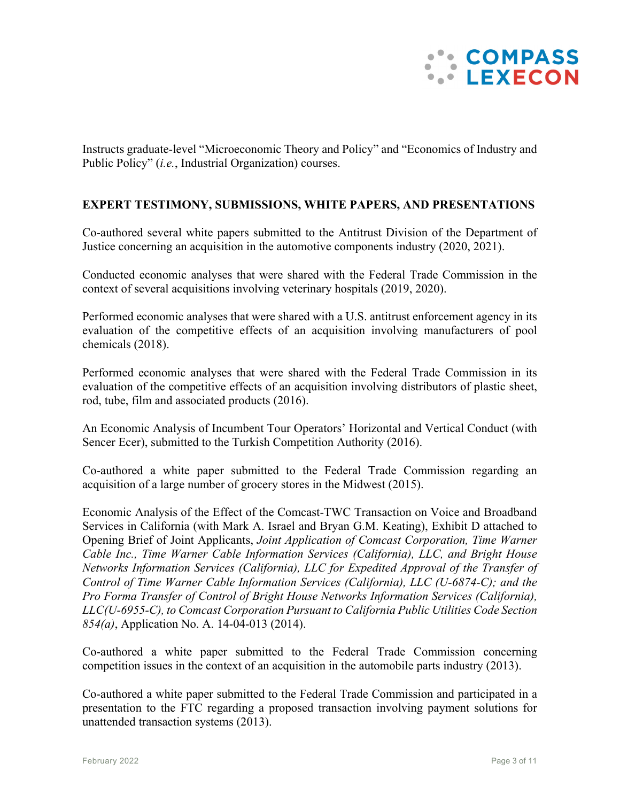

Instructs graduate-level "Microeconomic Theory and Policy" and "Economics of Industry and Public Policy" (*i.e.*, Industrial Organization) courses.

## **EXPERT TESTIMONY, SUBMISSIONS, WHITE PAPERS, AND PRESENTATIONS**

Co-authored several white papers submitted to the Antitrust Division of the Department of Justice concerning an acquisition in the automotive components industry (2020, 2021).

Conducted economic analyses that were shared with the Federal Trade Commission in the context of several acquisitions involving veterinary hospitals (2019, 2020).

Performed economic analyses that were shared with a U.S. antitrust enforcement agency in its evaluation of the competitive effects of an acquisition involving manufacturers of pool chemicals (2018).

Performed economic analyses that were shared with the Federal Trade Commission in its evaluation of the competitive effects of an acquisition involving distributors of plastic sheet, rod, tube, film and associated products (2016).

An Economic Analysis of Incumbent Tour Operators' Horizontal and Vertical Conduct (with Sencer Ecer), submitted to the Turkish Competition Authority (2016).

Co-authored a white paper submitted to the Federal Trade Commission regarding an acquisition of a large number of grocery stores in the Midwest (2015).

Economic Analysis of the Effect of the Comcast-TWC Transaction on Voice and Broadband Services in California (with Mark A. Israel and Bryan G.M. Keating), Exhibit D attached to Opening Brief of Joint Applicants, *Joint Application of Comcast Corporation, Time Warner Cable Inc., Time Warner Cable Information Services (California), LLC, and Bright House Networks Information Services (California), LLC for Expedited Approval of the Transfer of Control of Time Warner Cable Information Services (California), LLC (U-6874-C); and the Pro Forma Transfer of Control of Bright House Networks Information Services (California), LLC(U-6955-C), to Comcast Corporation Pursuant to California Public Utilities Code Section 854(a)*, Application No. A. 14-04-013 (2014).

Co-authored a white paper submitted to the Federal Trade Commission concerning competition issues in the context of an acquisition in the automobile parts industry (2013).

Co-authored a white paper submitted to the Federal Trade Commission and participated in a presentation to the FTC regarding a proposed transaction involving payment solutions for unattended transaction systems (2013).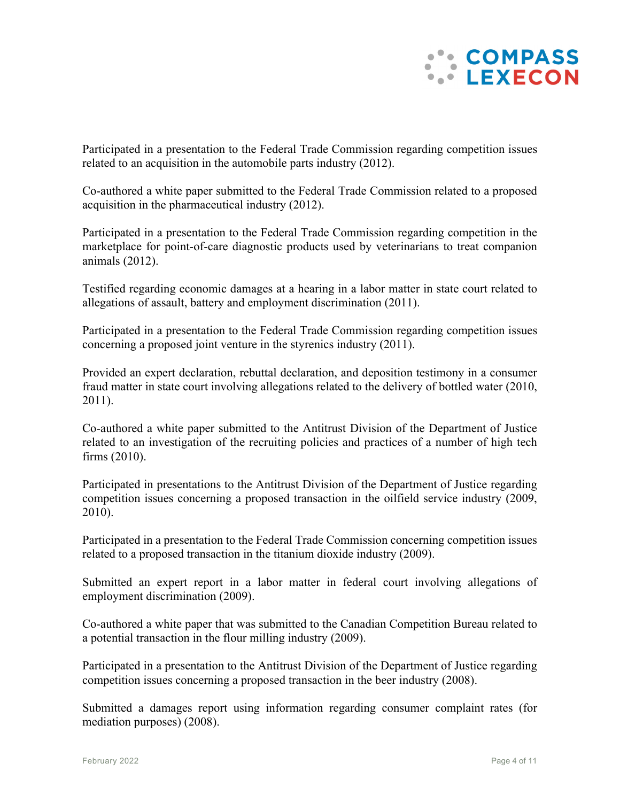

Participated in a presentation to the Federal Trade Commission regarding competition issues related to an acquisition in the automobile parts industry (2012).

Co-authored a white paper submitted to the Federal Trade Commission related to a proposed acquisition in the pharmaceutical industry (2012).

Participated in a presentation to the Federal Trade Commission regarding competition in the marketplace for point-of-care diagnostic products used by veterinarians to treat companion animals (2012).

Testified regarding economic damages at a hearing in a labor matter in state court related to allegations of assault, battery and employment discrimination (2011).

Participated in a presentation to the Federal Trade Commission regarding competition issues concerning a proposed joint venture in the styrenics industry (2011).

Provided an expert declaration, rebuttal declaration, and deposition testimony in a consumer fraud matter in state court involving allegations related to the delivery of bottled water (2010, 2011).

Co-authored a white paper submitted to the Antitrust Division of the Department of Justice related to an investigation of the recruiting policies and practices of a number of high tech firms (2010).

Participated in presentations to the Antitrust Division of the Department of Justice regarding competition issues concerning a proposed transaction in the oilfield service industry (2009, 2010).

Participated in a presentation to the Federal Trade Commission concerning competition issues related to a proposed transaction in the titanium dioxide industry (2009).

Submitted an expert report in a labor matter in federal court involving allegations of employment discrimination (2009).

Co-authored a white paper that was submitted to the Canadian Competition Bureau related to a potential transaction in the flour milling industry (2009).

Participated in a presentation to the Antitrust Division of the Department of Justice regarding competition issues concerning a proposed transaction in the beer industry (2008).

Submitted a damages report using information regarding consumer complaint rates (for mediation purposes) (2008).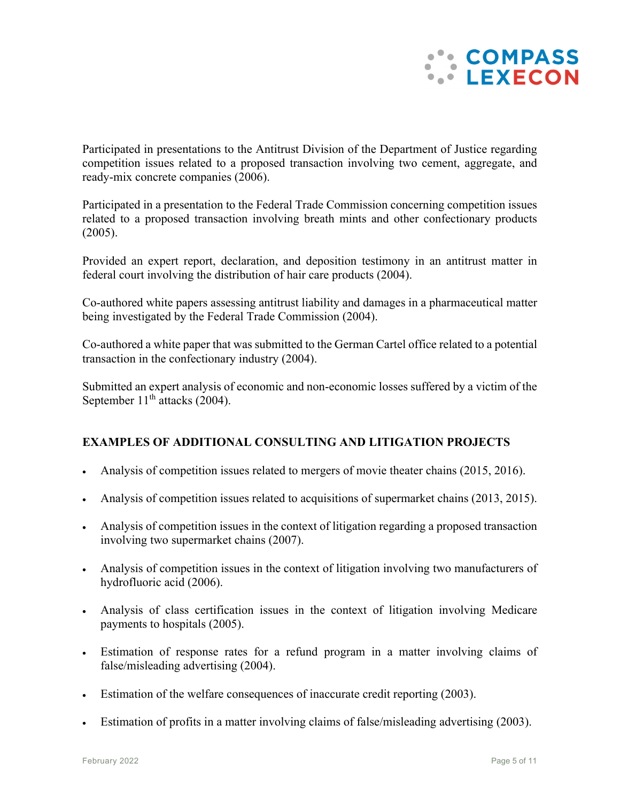

Participated in presentations to the Antitrust Division of the Department of Justice regarding competition issues related to a proposed transaction involving two cement, aggregate, and ready-mix concrete companies (2006).

Participated in a presentation to the Federal Trade Commission concerning competition issues related to a proposed transaction involving breath mints and other confectionary products (2005).

Provided an expert report, declaration, and deposition testimony in an antitrust matter in federal court involving the distribution of hair care products (2004).

Co-authored white papers assessing antitrust liability and damages in a pharmaceutical matter being investigated by the Federal Trade Commission (2004).

Co-authored a white paper that was submitted to the German Cartel office related to a potential transaction in the confectionary industry (2004).

Submitted an expert analysis of economic and non-economic losses suffered by a victim of the September  $11<sup>th</sup>$  attacks (2004).

# **EXAMPLES OF ADDITIONAL CONSULTING AND LITIGATION PROJECTS**

- Analysis of competition issues related to mergers of movie theater chains (2015, 2016).
- Analysis of competition issues related to acquisitions of supermarket chains (2013, 2015).
- Analysis of competition issues in the context of litigation regarding a proposed transaction involving two supermarket chains (2007).
- Analysis of competition issues in the context of litigation involving two manufacturers of hydrofluoric acid (2006).
- Analysis of class certification issues in the context of litigation involving Medicare payments to hospitals (2005).
- Estimation of response rates for a refund program in a matter involving claims of false/misleading advertising (2004).
- Estimation of the welfare consequences of inaccurate credit reporting (2003).
- Estimation of profits in a matter involving claims of false/misleading advertising (2003).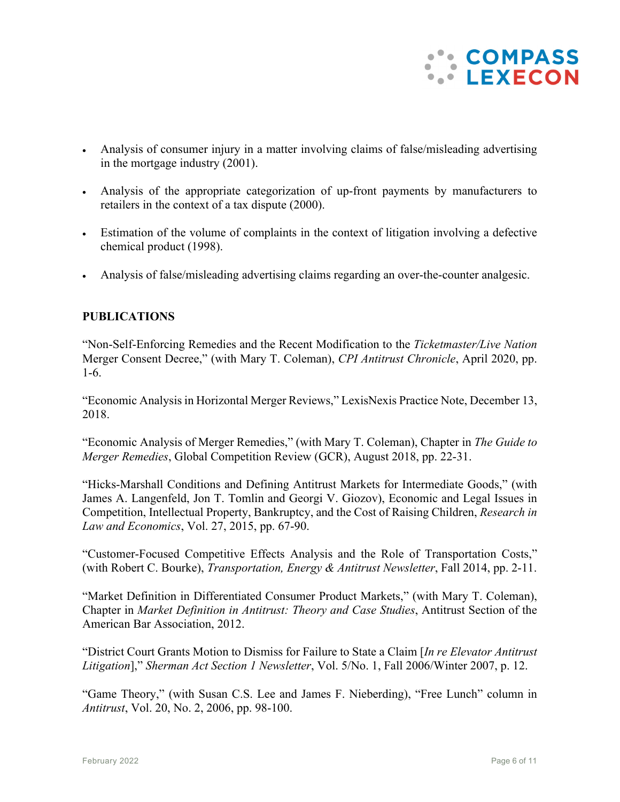

- Analysis of consumer injury in a matter involving claims of false/misleading advertising in the mortgage industry (2001).
- Analysis of the appropriate categorization of up-front payments by manufacturers to retailers in the context of a tax dispute (2000).
- Estimation of the volume of complaints in the context of litigation involving a defective chemical product (1998).
- Analysis of false/misleading advertising claims regarding an over-the-counter analgesic.

## **PUBLICATIONS**

"Non-Self-Enforcing Remedies and the Recent Modification to the *Ticketmaster/Live Nation* Merger Consent Decree," (with Mary T. Coleman), *CPI Antitrust Chronicle*, April 2020, pp. 1-6.

"Economic Analysis in Horizontal Merger Reviews," LexisNexis Practice Note, December 13, 2018.

"Economic Analysis of Merger Remedies," (with Mary T. Coleman), Chapter in *The Guide to Merger Remedies*, Global Competition Review (GCR), August 2018, pp. 22-31.

"Hicks-Marshall Conditions and Defining Antitrust Markets for Intermediate Goods," (with James A. Langenfeld, Jon T. Tomlin and Georgi V. Giozov), Economic and Legal Issues in Competition, Intellectual Property, Bankruptcy, and the Cost of Raising Children, *Research in Law and Economics*, Vol. 27, 2015, pp. 67-90.

"Customer-Focused Competitive Effects Analysis and the Role of Transportation Costs," (with Robert C. Bourke), *Transportation, Energy & Antitrust Newsletter*, Fall 2014, pp. 2-11.

"Market Definition in Differentiated Consumer Product Markets," (with Mary T. Coleman), Chapter in *Market Definition in Antitrust: Theory and Case Studies*, Antitrust Section of the American Bar Association, 2012.

"District Court Grants Motion to Dismiss for Failure to State a Claim [*In re Elevator Antitrust Litigation*]," *Sherman Act Section 1 Newsletter*, Vol. 5/No. 1, Fall 2006/Winter 2007, p. 12.

"Game Theory," (with Susan C.S. Lee and James F. Nieberding), "Free Lunch" column in *Antitrust*, Vol. 20, No. 2, 2006, pp. 98-100.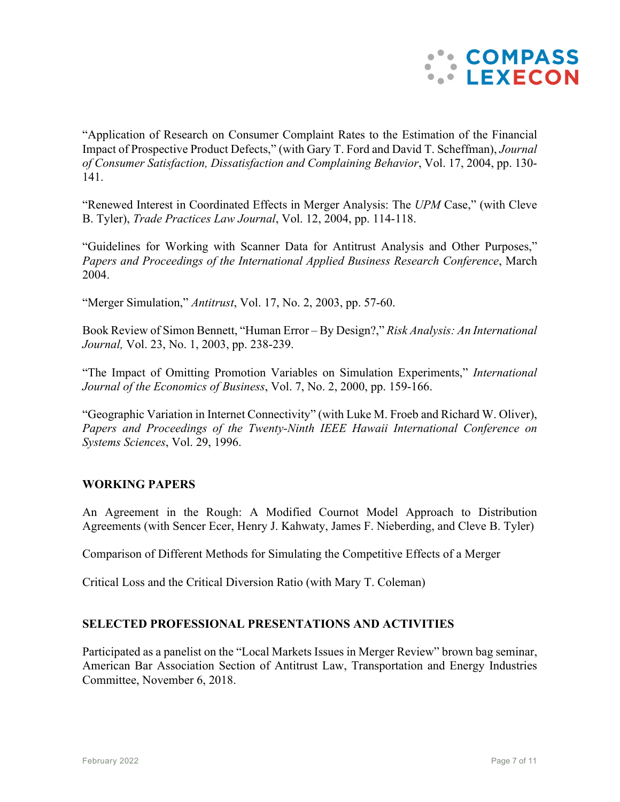

"Application of Research on Consumer Complaint Rates to the Estimation of the Financial Impact of Prospective Product Defects," (with Gary T. Ford and David T. Scheffman), *Journal of Consumer Satisfaction, Dissatisfaction and Complaining Behavior*, Vol. 17, 2004, pp. 130- 141.

"Renewed Interest in Coordinated Effects in Merger Analysis: The *UPM* Case," (with Cleve B. Tyler), *Trade Practices Law Journal*, Vol. 12, 2004, pp. 114-118.

"Guidelines for Working with Scanner Data for Antitrust Analysis and Other Purposes," *Papers and Proceedings of the International Applied Business Research Conference*, March 2004.

"Merger Simulation," *Antitrust*, Vol. 17, No. 2, 2003, pp. 57-60.

Book Review of Simon Bennett, "Human Error – By Design?," *Risk Analysis: An International Journal,* Vol. 23, No. 1, 2003, pp. 238-239.

"The Impact of Omitting Promotion Variables on Simulation Experiments," *International Journal of the Economics of Business*, Vol. 7, No. 2, 2000, pp. 159-166.

"Geographic Variation in Internet Connectivity" (with Luke M. Froeb and Richard W. Oliver), *Papers and Proceedings of the Twenty-Ninth IEEE Hawaii International Conference on Systems Sciences*, Vol. 29, 1996.

## **WORKING PAPERS**

An Agreement in the Rough: A Modified Cournot Model Approach to Distribution Agreements (with Sencer Ecer, Henry J. Kahwaty, James F. Nieberding, and Cleve B. Tyler)

Comparison of Different Methods for Simulating the Competitive Effects of a Merger

Critical Loss and the Critical Diversion Ratio (with Mary T. Coleman)

## **SELECTED PROFESSIONAL PRESENTATIONS AND ACTIVITIES**

Participated as a panelist on the "Local Markets Issues in Merger Review" brown bag seminar, American Bar Association Section of Antitrust Law, Transportation and Energy Industries Committee, November 6, 2018.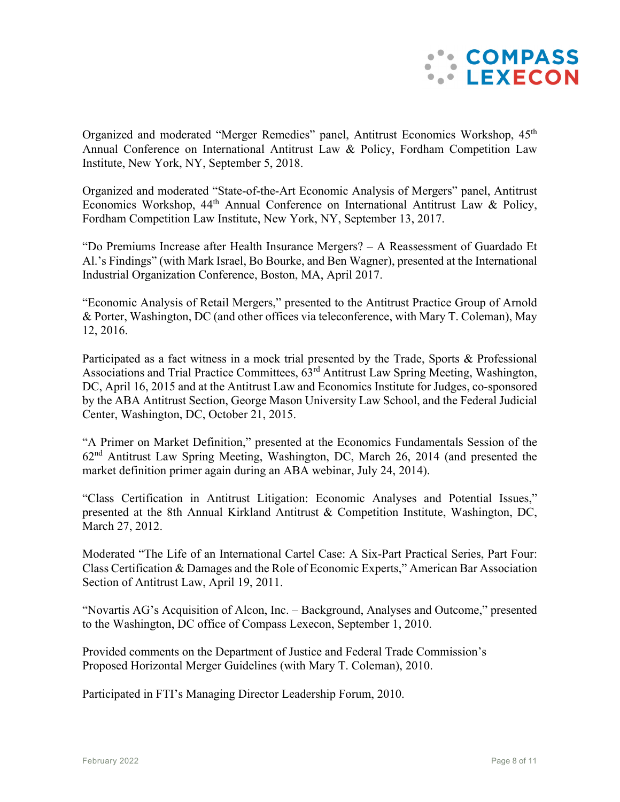

Organized and moderated "Merger Remedies" panel, Antitrust Economics Workshop, 45<sup>th</sup> Annual Conference on International Antitrust Law & Policy, Fordham Competition Law Institute, New York, NY, September 5, 2018.

Organized and moderated "State-of-the-Art Economic Analysis of Mergers" panel, Antitrust Economics Workshop,  $44<sup>th</sup>$  Annual Conference on International Antitrust Law & Policy, Fordham Competition Law Institute, New York, NY, September 13, 2017.

"Do Premiums Increase after Health Insurance Mergers? – A Reassessment of Guardado Et Al.'s Findings" (with Mark Israel, Bo Bourke, and Ben Wagner), presented at the International Industrial Organization Conference, Boston, MA, April 2017.

"Economic Analysis of Retail Mergers," presented to the Antitrust Practice Group of Arnold & Porter, Washington, DC (and other offices via teleconference, with Mary T. Coleman), May 12, 2016.

Participated as a fact witness in a mock trial presented by the Trade, Sports & Professional Associations and Trial Practice Committees, 63<sup>rd</sup> Antitrust Law Spring Meeting, Washington, DC, April 16, 2015 and at the Antitrust Law and Economics Institute for Judges, co-sponsored by the ABA Antitrust Section, George Mason University Law School, and the Federal Judicial Center, Washington, DC, October 21, 2015.

"A Primer on Market Definition," presented at the Economics Fundamentals Session of the 62nd Antitrust Law Spring Meeting, Washington, DC, March 26, 2014 (and presented the market definition primer again during an ABA webinar, July 24, 2014).

"Class Certification in Antitrust Litigation: Economic Analyses and Potential Issues," presented at the 8th Annual Kirkland Antitrust & Competition Institute, Washington, DC, March 27, 2012.

Moderated "The Life of an International Cartel Case: A Six-Part Practical Series, Part Four: Class Certification & Damages and the Role of Economic Experts," American Bar Association Section of Antitrust Law, April 19, 2011.

"Novartis AG's Acquisition of Alcon, Inc. – Background, Analyses and Outcome," presented to the Washington, DC office of Compass Lexecon, September 1, 2010.

Provided comments on the Department of Justice and Federal Trade Commission's Proposed Horizontal Merger Guidelines (with Mary T. Coleman), 2010.

Participated in FTI's Managing Director Leadership Forum, 2010.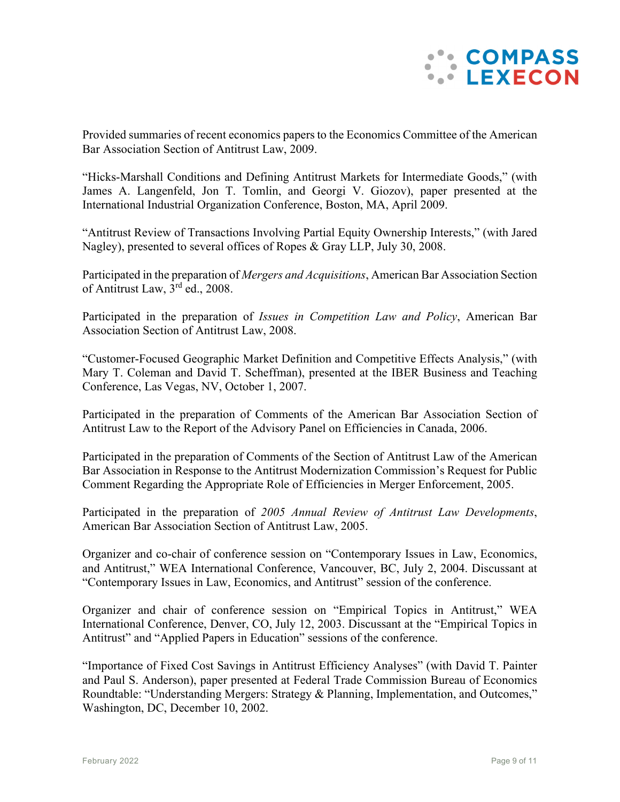

Provided summaries of recent economics papers to the Economics Committee of the American Bar Association Section of Antitrust Law, 2009.

"Hicks-Marshall Conditions and Defining Antitrust Markets for Intermediate Goods," (with James A. Langenfeld, Jon T. Tomlin, and Georgi V. Giozov), paper presented at the International Industrial Organization Conference, Boston, MA, April 2009.

"Antitrust Review of Transactions Involving Partial Equity Ownership Interests," (with Jared Nagley), presented to several offices of Ropes & Gray LLP, July 30, 2008.

Participated in the preparation of *Mergers and Acquisitions*, American Bar Association Section of Antitrust Law,  $3^{rd}$  ed., 2008.

Participated in the preparation of *Issues in Competition Law and Policy*, American Bar Association Section of Antitrust Law, 2008.

"Customer-Focused Geographic Market Definition and Competitive Effects Analysis," (with Mary T. Coleman and David T. Scheffman), presented at the IBER Business and Teaching Conference, Las Vegas, NV, October 1, 2007.

Participated in the preparation of Comments of the American Bar Association Section of Antitrust Law to the Report of the Advisory Panel on Efficiencies in Canada, 2006.

Participated in the preparation of Comments of the Section of Antitrust Law of the American Bar Association in Response to the Antitrust Modernization Commission's Request for Public Comment Regarding the Appropriate Role of Efficiencies in Merger Enforcement, 2005.

Participated in the preparation of *2005 Annual Review of Antitrust Law Developments*, American Bar Association Section of Antitrust Law, 2005.

Organizer and co-chair of conference session on "Contemporary Issues in Law, Economics, and Antitrust," WEA International Conference, Vancouver, BC, July 2, 2004. Discussant at "Contemporary Issues in Law, Economics, and Antitrust" session of the conference.

Organizer and chair of conference session on "Empirical Topics in Antitrust," WEA International Conference, Denver, CO, July 12, 2003. Discussant at the "Empirical Topics in Antitrust" and "Applied Papers in Education" sessions of the conference.

"Importance of Fixed Cost Savings in Antitrust Efficiency Analyses" (with David T. Painter and Paul S. Anderson), paper presented at Federal Trade Commission Bureau of Economics Roundtable: "Understanding Mergers: Strategy & Planning, Implementation, and Outcomes," Washington, DC, December 10, 2002.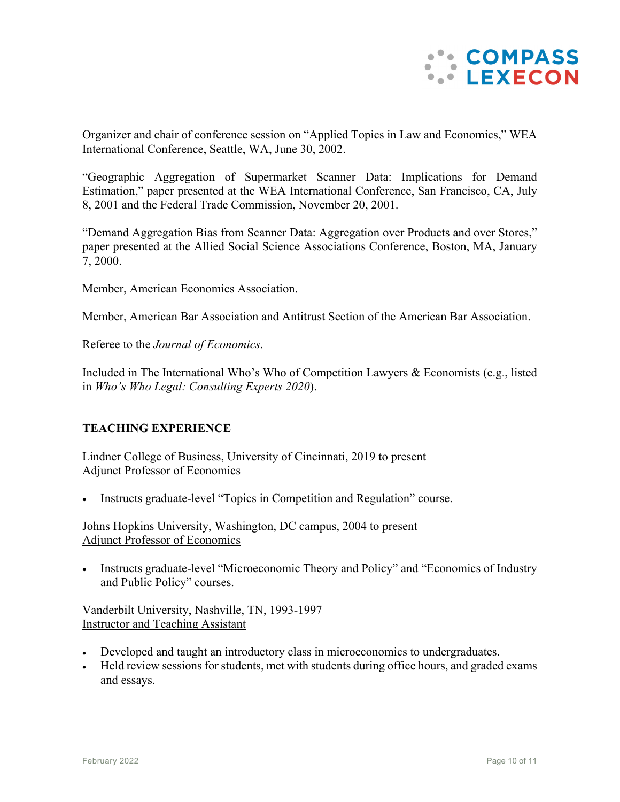

Organizer and chair of conference session on "Applied Topics in Law and Economics," WEA International Conference, Seattle, WA, June 30, 2002.

"Geographic Aggregation of Supermarket Scanner Data: Implications for Demand Estimation," paper presented at the WEA International Conference, San Francisco, CA, July 8, 2001 and the Federal Trade Commission, November 20, 2001.

"Demand Aggregation Bias from Scanner Data: Aggregation over Products and over Stores," paper presented at the Allied Social Science Associations Conference, Boston, MA, January 7, 2000.

Member, American Economics Association.

Member, American Bar Association and Antitrust Section of the American Bar Association.

Referee to the *Journal of Economics*.

Included in The International Who's Who of Competition Lawyers & Economists (e.g., listed in *Who's Who Legal: Consulting Experts 2020*).

## **TEACHING EXPERIENCE**

Lindner College of Business, University of Cincinnati, 2019 to present Adjunct Professor of Economics

Instructs graduate-level "Topics in Competition and Regulation" course.

Johns Hopkins University, Washington, DC campus, 2004 to present Adjunct Professor of Economics

• Instructs graduate-level "Microeconomic Theory and Policy" and "Economics of Industry and Public Policy" courses.

Vanderbilt University, Nashville, TN, 1993-1997 Instructor and Teaching Assistant

- Developed and taught an introductory class in microeconomics to undergraduates.
- Held review sessions for students, met with students during office hours, and graded exams and essays.